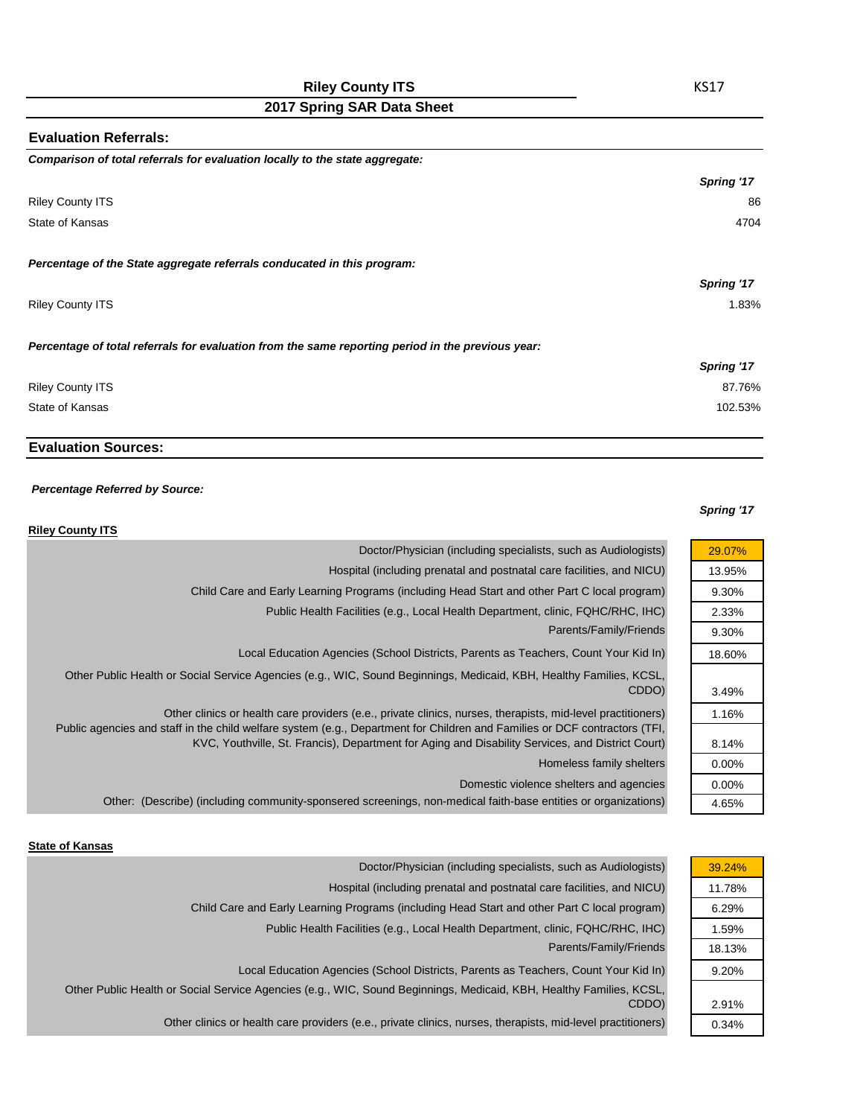## **Riley County ITS**

## **2017 Spring SAR Data Sheet**

| <b>Evaluation Referrals:</b>                                                                      |            |
|---------------------------------------------------------------------------------------------------|------------|
| Comparison of total referrals for evaluation locally to the state aggregate:                      |            |
|                                                                                                   | Spring '17 |
| <b>Riley County ITS</b>                                                                           | 86         |
| State of Kansas                                                                                   | 4704       |
| Percentage of the State aggregate referrals conducated in this program:                           |            |
|                                                                                                   | Spring '17 |
| <b>Riley County ITS</b>                                                                           | 1.83%      |
| Percentage of total referrals for evaluation from the same reporting period in the previous year: |            |
|                                                                                                   | Spring '17 |
| <b>Riley County ITS</b>                                                                           | 87.76%     |
| State of Kansas                                                                                   | 102.53%    |
|                                                                                                   |            |

### **Evaluation Sources:**

### *Percentage Referred by Source:*

#### *Spring '17*

29.07% 13.95% 9.30% 2.33% 9.30% 18.60%

3.49% 1.16%

8.14% 0.00% 0.00% 4.65%

| <b>Riley County ITS</b>                                                                                                                                                                                                                                                                                                                       |
|-----------------------------------------------------------------------------------------------------------------------------------------------------------------------------------------------------------------------------------------------------------------------------------------------------------------------------------------------|
| Doctor/Physician (including specialists, such as Audiologists)                                                                                                                                                                                                                                                                                |
| Hospital (including prenatal and postnatal care facilities, and NICU)                                                                                                                                                                                                                                                                         |
| Child Care and Early Learning Programs (including Head Start and other Part C local program)                                                                                                                                                                                                                                                  |
| Public Health Facilities (e.g., Local Health Department, clinic, FQHC/RHC, IHC)                                                                                                                                                                                                                                                               |
| Parents/Family/Friends                                                                                                                                                                                                                                                                                                                        |
| Local Education Agencies (School Districts, Parents as Teachers, Count Your Kid In)                                                                                                                                                                                                                                                           |
| Other Public Health or Social Service Agencies (e.g., WIC, Sound Beginnings, Medicaid, KBH, Healthy Families, KCSL,<br>CDDO)                                                                                                                                                                                                                  |
| Other clinics or health care providers (e.e., private clinics, nurses, therapists, mid-level practitioners)<br>Public agencies and staff in the child welfare system (e.g., Department for Children and Families or DCF contractors (TFI,<br>KVC, Youthville, St. Francis), Department for Aging and Disability Services, and District Court) |
| Homeless family shelters                                                                                                                                                                                                                                                                                                                      |
| Domestic violence shelters and agencies                                                                                                                                                                                                                                                                                                       |
| Other: (Describe) (including community-sponsered screenings, non-medical faith-base entities or organizations)                                                                                                                                                                                                                                |

#### **State of Kansas**

| 39.24% |
|--------|
| 11.78% |
| 6.29%  |
| 1.59%  |
| 18.13% |
| 9.20%  |
|        |
| 2.91%  |
| 0.34%  |
|        |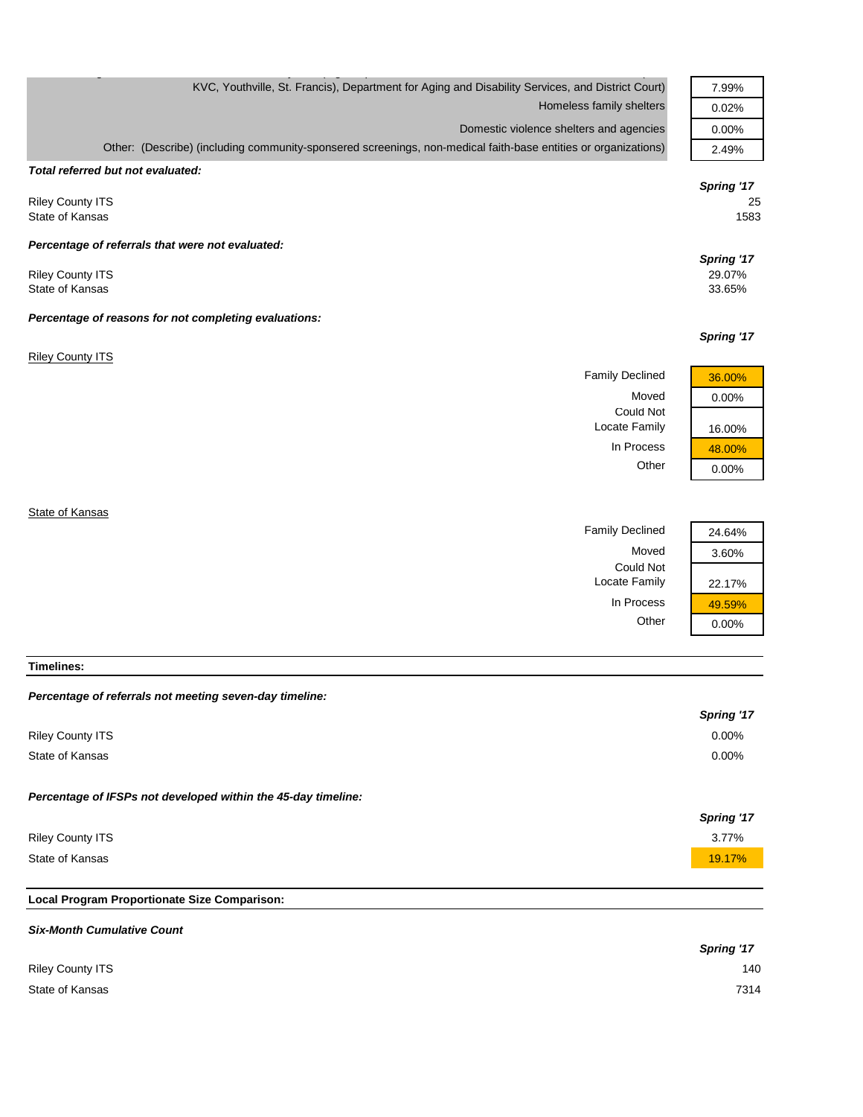| KVC, Youthville, St. Francis), Department for Aging and Disability Services, and District Court)               | 7.99%      |
|----------------------------------------------------------------------------------------------------------------|------------|
| Homeless family shelters                                                                                       | 0.02%      |
| Domestic violence shelters and agencies                                                                        | 0.00%      |
| Other: (Describe) (including community-sponsered screenings, non-medical faith-base entities or organizations) | 2.49%      |
| Total referred but not evaluated:                                                                              |            |
|                                                                                                                | Spring '17 |
| <b>Riley County ITS</b>                                                                                        | 25         |
| State of Kansas                                                                                                | 1583       |
| Percentage of referrals that were not evaluated:                                                               |            |
|                                                                                                                | Spring '17 |
| <b>Riley County ITS</b>                                                                                        | 29.07%     |
| State of Kansas                                                                                                | 33.65%     |
| Percentage of reasons for not completing evaluations:                                                          |            |
|                                                                                                                | Spring '17 |
| <b>Riley County ITS</b>                                                                                        |            |
| <b>Family Declined</b>                                                                                         | 36.00%     |
| Moved                                                                                                          | 0.00%      |
| <b>Could Not</b>                                                                                               |            |
| Locate Family                                                                                                  | 16.00%     |
| In Process                                                                                                     | 48.00%     |
| Other                                                                                                          | 0.00%      |
|                                                                                                                |            |
| State of Kansas                                                                                                |            |

Moved 3.60% Could Not Locate Family 22.17% In Process  $\frac{49.59\%}{0.00\%}$ 

Family Declined 24.64%

 $0.00%$ 

#### **Timelines:**

#### *Percentage of referrals not meeting seven-day timeline:*

|                                                               | Spring '17 |
|---------------------------------------------------------------|------------|
| <b>Riley County ITS</b>                                       | $0.00\%$   |
| State of Kansas                                               | $0.00\%$   |
| Percentage of IFSPs not developed within the 45-day timeline: |            |
|                                                               | Spring '17 |
| <b>Riley County ITS</b>                                       | 3.77%      |
| State of Kansas                                               | 19.17%     |
|                                                               |            |

# **Local Program Proportionate Size Comparison:**

| <b>Six-Month Cumulative Count</b> |            |
|-----------------------------------|------------|
|                                   | Spring '17 |
| <b>Riley County ITS</b>           | 140        |
| State of Kansas                   | 7314       |